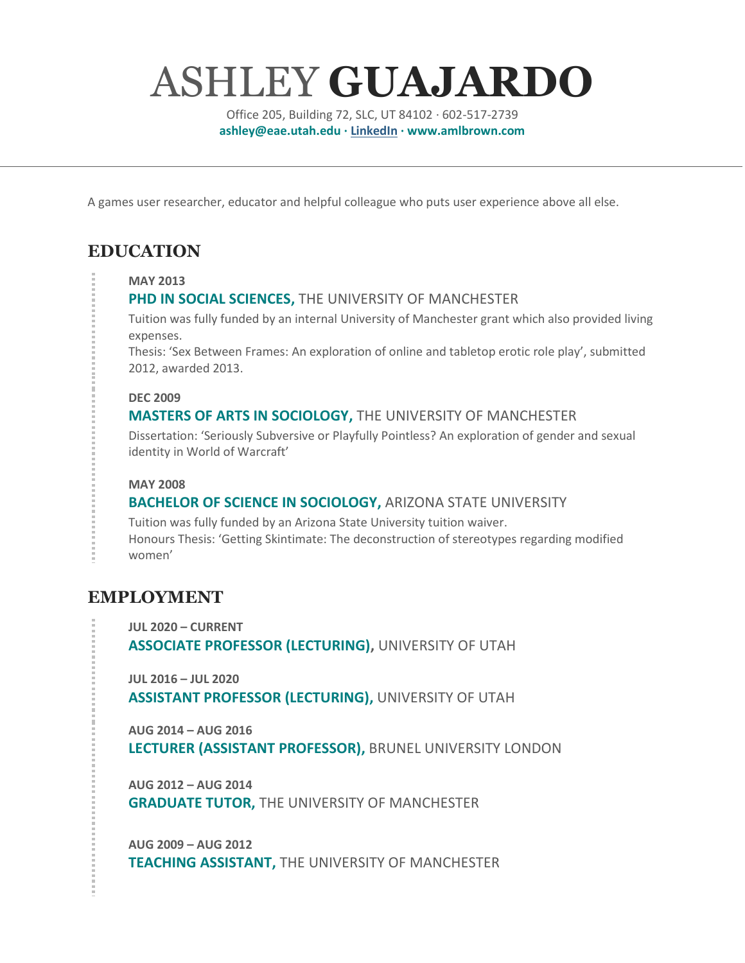# ASHLEY **GUAJARDO**

Office 205, Building 72, SLC, UT 84102 · 602-517-2739 **ashley@eae.utah.edu · [LinkedIn](https://www.linkedin.com/in/ashley-ml-brown-bab62148/) · www.amlbrown.com**

A games user researcher, educator and helpful colleague who puts user experience above all else.

# **EDUCATION**

#### **MAY 2013**

### **PHD IN SOCIAL SCIENCES,** THE UNIVERSITY OF MANCHESTER

Tuition was fully funded by an internal University of Manchester grant which also provided living expenses.

Thesis: 'Sex Between Frames: An exploration of online and tabletop erotic role play', submitted 2012, awarded 2013.

#### **DEC 2009**

### **MASTERS OF ARTS IN SOCIOLOGY,** THE UNIVERSITY OF MANCHESTER

Dissertation: 'Seriously Subversive or Playfully Pointless? An exploration of gender and sexual identity in World of Warcraft'

#### **MAY 2008**

### **BACHELOR OF SCIENCE IN SOCIOLOGY,** ARIZONA STATE UNIVERSITY

Tuition was fully funded by an Arizona State University tuition waiver. Honours Thesis: 'Getting Skintimate: The deconstruction of stereotypes regarding modified women'

## **EMPLOYMENT**

**JUL 2020 – CURRENT ASSOCIATE PROFESSOR (LECTURING),** UNIVERSITY OF UTAH

**JUL 2016 – JUL 2020 ASSISTANT PROFESSOR (LECTURING),** UNIVERSITY OF UTAH

**AUG 2014 – AUG 2016 LECTURER (ASSISTANT PROFESSOR),** BRUNEL UNIVERSITY LONDON

**AUG 2012 – AUG 2014 GRADUATE TUTOR,** THE UNIVERSITY OF MANCHESTER

**AUG 2009 – AUG 2012 TEACHING ASSISTANT,** THE UNIVERSITY OF MANCHESTER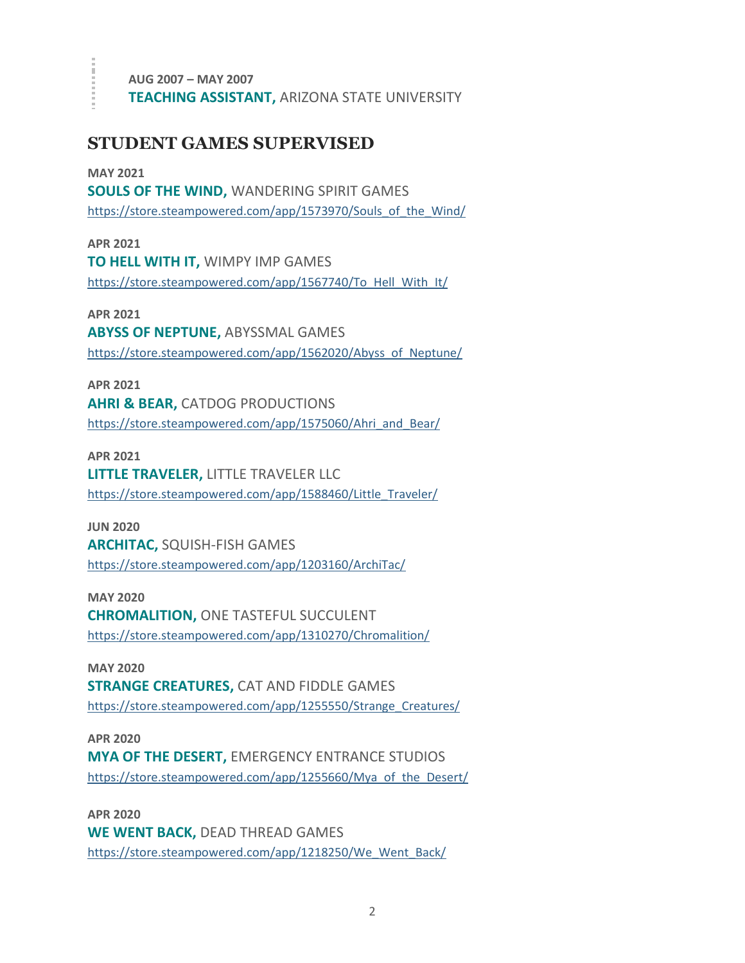**AUG 2007 – MAY 2007 TEACHING ASSISTANT,** ARIZONA STATE UNIVERSITY

## **STUDENT GAMES SUPERVISED**

ă,

**MAY 2021 SOULS OF THE WIND,** WANDERING SPIRIT GAMES [https://store.steampowered.com/app/1573970/Souls\\_of\\_the\\_Wind/](https://store.steampowered.com/app/1573970/Souls_of_the_Wind/)

**APR 2021 TO HELL WITH IT,** WIMPY IMP GAMES [https://store.steampowered.com/app/1567740/To\\_Hell\\_With\\_It/](https://store.steampowered.com/app/1567740/To_Hell_With_It/)

**APR 2021 ABYSS OF NEPTUNE,** ABYSSMAL GAMES [https://store.steampowered.com/app/1562020/Abyss\\_of\\_Neptune/](https://store.steampowered.com/app/1562020/Abyss_of_Neptune/)

**APR 2021 AHRI & BEAR,** CATDOG PRODUCTIONS [https://store.steampowered.com/app/1575060/Ahri\\_and\\_Bear/](https://store.steampowered.com/app/1575060/Ahri_and_Bear/)

**APR 2021 LITTLE TRAVELER,** LITTLE TRAVELER LLC [https://store.steampowered.com/app/1588460/Little\\_Traveler/](https://store.steampowered.com/app/1588460/Little_Traveler/)

**JUN 2020 ARCHITAC,** SQUISH-FISH GAMES <https://store.steampowered.com/app/1203160/ArchiTac/>

**MAY 2020 CHROMALITION,** ONE TASTEFUL SUCCULENT <https://store.steampowered.com/app/1310270/Chromalition/>

**MAY 2020 STRANGE CREATURES,** CAT AND FIDDLE GAMES [https://store.steampowered.com/app/1255550/Strange\\_Creatures/](https://store.steampowered.com/app/1255550/Strange_Creatures/)

**APR 2020 MYA OF THE DESERT,** EMERGENCY ENTRANCE STUDIOS [https://store.steampowered.com/app/1255660/Mya\\_of\\_the\\_Desert/](https://store.steampowered.com/app/1255660/Mya_of_the_Desert/)

**APR 2020 WE WENT BACK,** DEAD THREAD GAMES [https://store.steampowered.com/app/1218250/We\\_Went\\_Back/](https://store.steampowered.com/app/1218250/We_Went_Back/)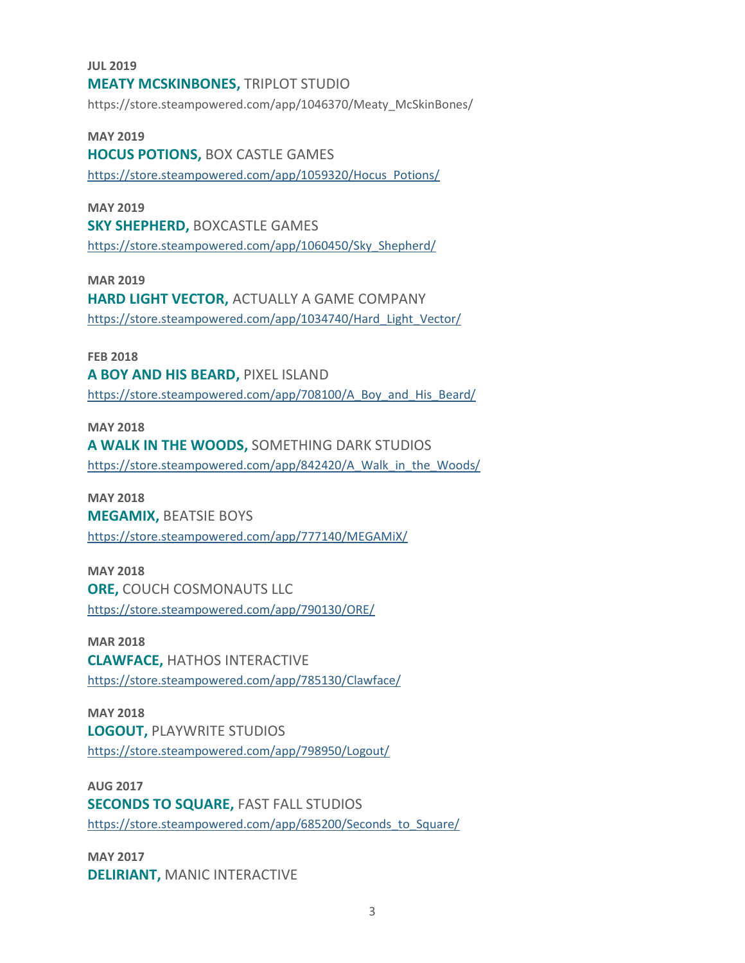**JUL 2019 MEATY MCSKINBONES,** TRIPLOT STUDIO https://store.steampowered.com/app/1046370/Meaty\_McSkinBones/

**MAY 2019 HOCUS POTIONS,** BOX CASTLE GAMES [https://store.steampowered.com/app/1059320/Hocus\\_Potions/](https://store.steampowered.com/app/1059320/Hocus_Potions/)

**MAY 2019 SKY SHEPHERD,** BOXCASTLE GAMES [https://store.steampowered.com/app/1060450/Sky\\_Shepherd/](https://store.steampowered.com/app/1060450/Sky_Shepherd/)

**MAR 2019 HARD LIGHT VECTOR,** ACTUALLY A GAME COMPANY [https://store.steampowered.com/app/1034740/Hard\\_Light\\_Vector/](https://store.steampowered.com/app/1034740/Hard_Light_Vector/)

**FEB 2018 A BOY AND HIS BEARD,** PIXEL ISLAND [https://store.steampowered.com/app/708100/A\\_Boy\\_and\\_His\\_Beard/](https://store.steampowered.com/app/708100/A_Boy_and_His_Beard/)

**MAY 2018 A WALK IN THE WOODS,** SOMETHING DARK STUDIOS [https://store.steampowered.com/app/842420/A\\_Walk\\_in\\_the\\_Woods/](https://store.steampowered.com/app/842420/A_Walk_in_the_Woods/)

**MAY 2018 MEGAMIX,** BEATSIE BOYS <https://store.steampowered.com/app/777140/MEGAMiX/>

**MAY 2018 ORE,** COUCH COSMONAUTS LLC <https://store.steampowered.com/app/790130/ORE/>

**MAR 2018 CLAWFACE,** HATHOS INTERACTIVE <https://store.steampowered.com/app/785130/Clawface/>

**MAY 2018 LOGOUT,** PLAYWRITE STUDIOS <https://store.steampowered.com/app/798950/Logout/>

**AUG 2017 SECONDS TO SQUARE, FAST FALL STUDIOS** [https://store.steampowered.com/app/685200/Seconds\\_to\\_Square/](https://store.steampowered.com/app/685200/Seconds_to_Square/)

**MAY 2017 DELIRIANT,** MANIC INTERACTIVE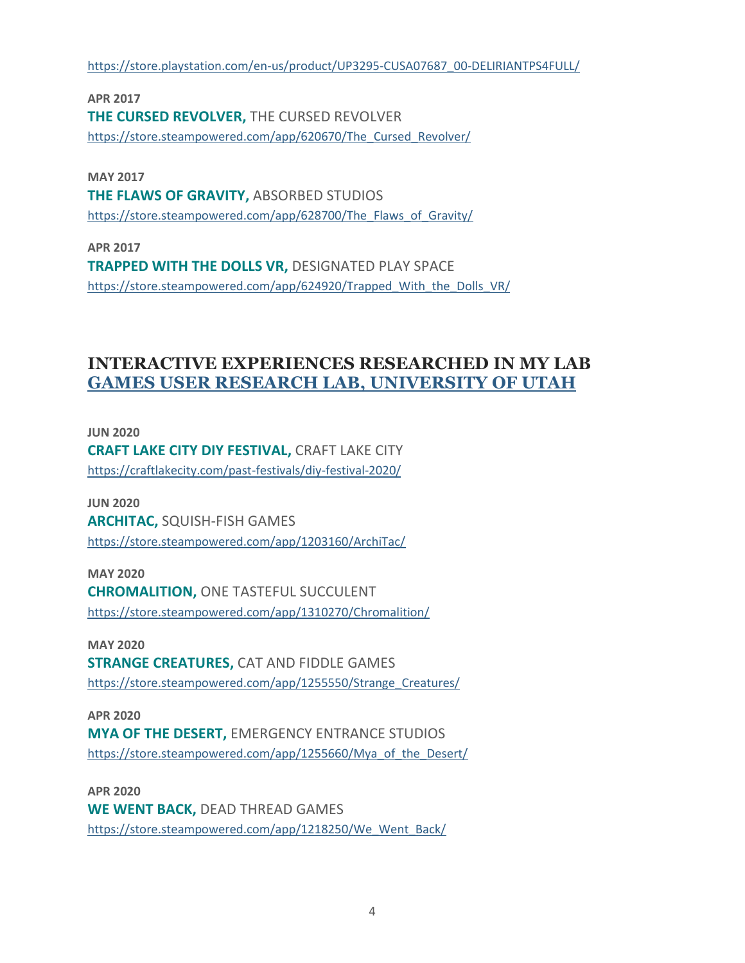[https://store.playstation.com/en-us/product/UP3295-CUSA07687\\_00-DELIRIANTPS4FULL/](https://store.playstation.com/en-us/product/UP3295-CUSA07687_00-DELIRIANTPS4FULL/)

**APR 2017 THE CURSED REVOLVER,** THE CURSED REVOLVER https://store.steampowered.com/app/620670/The Cursed Revolver/

**MAY 2017 THE FLAWS OF GRAVITY,** ABSORBED STUDIOS [https://store.steampowered.com/app/628700/The\\_Flaws\\_of\\_Gravity/](https://store.steampowered.com/app/628700/The_Flaws_of_Gravity/)

**APR 2017 TRAPPED WITH THE DOLLS VR,** DESIGNATED PLAY SPACE [https://store.steampowered.com/app/624920/Trapped\\_With\\_the\\_Dolls\\_VR/](https://store.steampowered.com/app/624920/Trapped_With_the_Dolls_VR/)

## **INTERACTIVE EXPERIENCES RESEARCHED IN MY LAB [GAMES USER RESEARCH LAB, UNIVERSITY OF UTAH](https://games.utah.edu/lab-scheduler/)**

**JUN 2020 CRAFT LAKE CITY DIY FESTIVAL,** CRAFT LAKE CITY <https://craftlakecity.com/past-festivals/diy-festival-2020/>

**JUN 2020 ARCHITAC,** SQUISH-FISH GAMES <https://store.steampowered.com/app/1203160/ArchiTac/>

**MAY 2020 CHROMALITION,** ONE TASTEFUL SUCCULENT <https://store.steampowered.com/app/1310270/Chromalition/>

**MAY 2020 STRANGE CREATURES,** CAT AND FIDDLE GAMES [https://store.steampowered.com/app/1255550/Strange\\_Creatures/](https://store.steampowered.com/app/1255550/Strange_Creatures/)

**APR 2020 MYA OF THE DESERT,** EMERGENCY ENTRANCE STUDIOS [https://store.steampowered.com/app/1255660/Mya\\_of\\_the\\_Desert/](https://store.steampowered.com/app/1255660/Mya_of_the_Desert/)

**APR 2020 WE WENT BACK,** DEAD THREAD GAMES [https://store.steampowered.com/app/1218250/We\\_Went\\_Back/](https://store.steampowered.com/app/1218250/We_Went_Back/)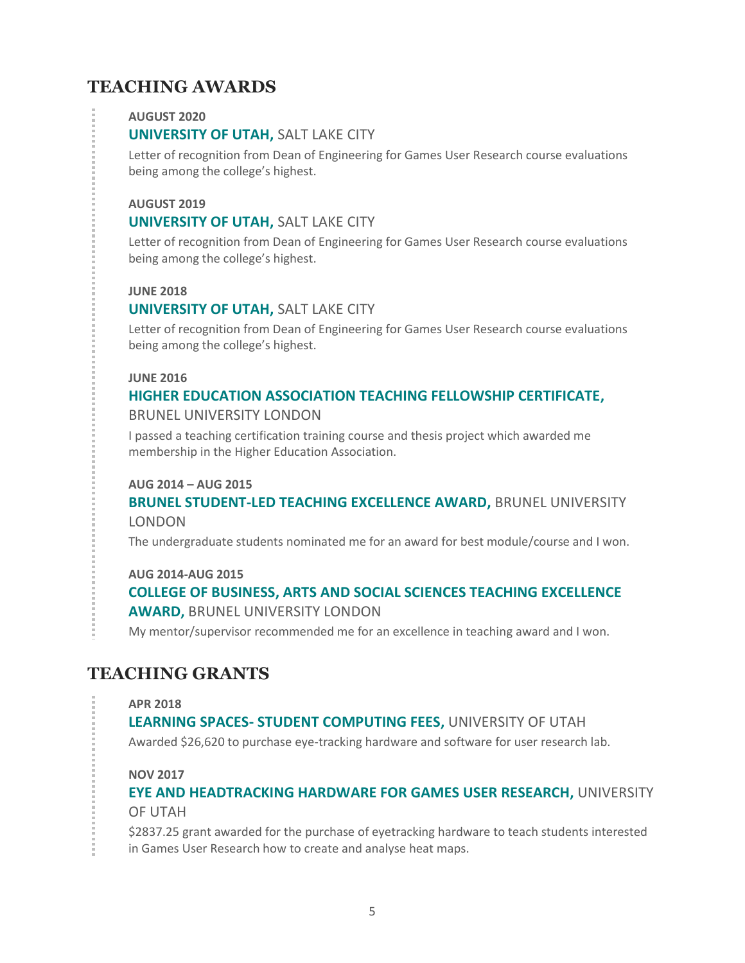# **TEACHING AWARDS**

#### **AUGUST 2020**

#### **UNIVERSITY OF UTAH,** SALT LAKE CITY

Letter of recognition from Dean of Engineering for Games User Research course evaluations being among the college's highest.

#### **AUGUST 2019**

#### **UNIVERSITY OF UTAH,** SALT LAKE CITY

Letter of recognition from Dean of Engineering for Games User Research course evaluations being among the college's highest.

#### **JUNE 2018**

#### **UNIVERSITY OF UTAH,** SALT LAKE CITY

Letter of recognition from Dean of Engineering for Games User Research course evaluations being among the college's highest.

#### **JUNE 2016**

# **HIGHER EDUCATION ASSOCIATION TEACHING FELLOWSHIP CERTIFICATE,**

BRUNEL UNIVERSITY LONDON

I passed a teaching certification training course and thesis project which awarded me membership in the Higher Education Association.

#### **AUG 2014 – AUG 2015**

#### **BRUNEL STUDENT-LED TEACHING EXCELLENCE AWARD,** BRUNEL UNIVERSITY LONDON

The undergraduate students nominated me for an award for best module/course and I won.

#### **AUG 2014-AUG 2015**

## **COLLEGE OF BUSINESS, ARTS AND SOCIAL SCIENCES TEACHING EXCELLENCE AWARD,** BRUNEL UNIVERSITY LONDON

My mentor/supervisor recommended me for an excellence in teaching award and I won.

## **TEACHING GRANTS**

#### **APR 2018**

#### **LEARNING SPACES- STUDENT COMPUTING FEES,** UNIVERSITY OF UTAH

Awarded \$26,620 to purchase eye-tracking hardware and software for user research lab.

#### **NOV 2017**

## **EYE AND HEADTRACKING HARDWARE FOR GAMES USER RESEARCH,** UNIVERSITY OF UTAH

\$2837.25 grant awarded for the purchase of eyetracking hardware to teach students interested in Games User Research how to create and analyse heat maps.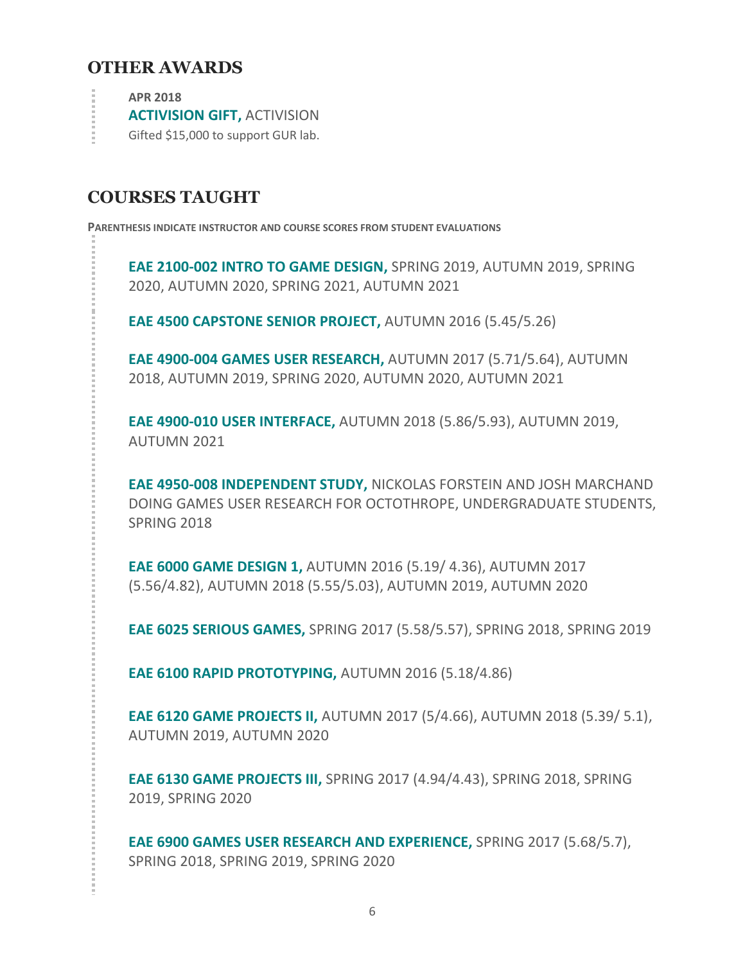## **OTHER AWARDS**

**APR 2018**

**ACTIVISION GIFT,** ACTIVISION

Gifted \$15,000 to support GUR lab.

## **COURSES TAUGHT**

**PARENTHESIS INDICATE INSTRUCTOR AND COURSE SCORES FROM STUDENT EVALUATIONS**

**EAE 2100-002 INTRO TO GAME DESIGN,** SPRING 2019, AUTUMN 2019, SPRING 2020, AUTUMN 2020, SPRING 2021, AUTUMN 2021

**EAE 4500 CAPSTONE SENIOR PROJECT,** AUTUMN 2016 (5.45/5.26)

**EAE 4900-004 GAMES USER RESEARCH,** AUTUMN 2017 (5.71/5.64), AUTUMN 2018, AUTUMN 2019, SPRING 2020, AUTUMN 2020, AUTUMN 2021

**EAE 4900-010 USER INTERFACE,** AUTUMN 2018 (5.86/5.93), AUTUMN 2019, AUTUMN 2021

**EAE 4950-008 INDEPENDENT STUDY,** NICKOLAS FORSTEIN AND JOSH MARCHAND DOING GAMES USER RESEARCH FOR OCTOTHROPE, UNDERGRADUATE STUDENTS, SPRING 2018

**EAE 6000 GAME DESIGN 1,** AUTUMN 2016 (5.19/ 4.36), AUTUMN 2017 (5.56/4.82), AUTUMN 2018 (5.55/5.03), AUTUMN 2019, AUTUMN 2020

**EAE 6025 SERIOUS GAMES,** SPRING 2017 (5.58/5.57), SPRING 2018, SPRING 2019

**EAE 6100 RAPID PROTOTYPING,** AUTUMN 2016 (5.18/4.86)

**EAE 6120 GAME PROJECTS II,** AUTUMN 2017 (5/4.66), AUTUMN 2018 (5.39/ 5.1), AUTUMN 2019, AUTUMN 2020

**EAE 6130 GAME PROJECTS III,** SPRING 2017 (4.94/4.43), SPRING 2018, SPRING 2019, SPRING 2020

**EAE 6900 GAMES USER RESEARCH AND EXPERIENCE,** SPRING 2017 (5.68/5.7), SPRING 2018, SPRING 2019, SPRING 2020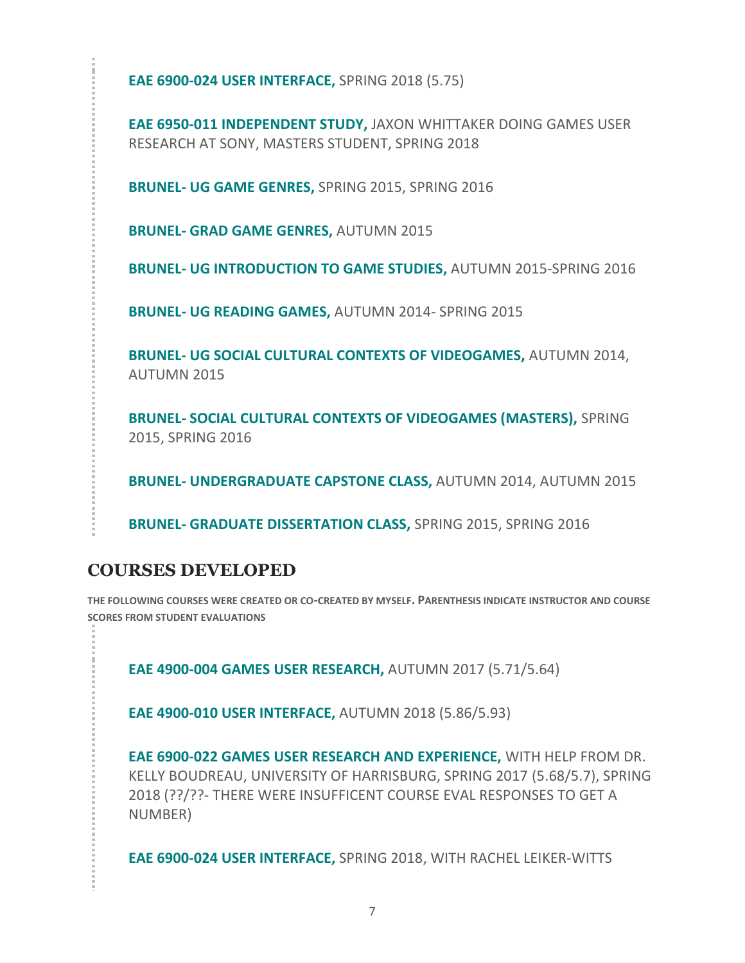**EAE 6900-024 USER INTERFACE,** SPRING 2018 (5.75)

**EAE 6950-011 INDEPENDENT STUDY,** JAXON WHITTAKER DOING GAMES USER RESEARCH AT SONY, MASTERS STUDENT, SPRING 2018

**BRUNEL- UG GAME GENRES,** SPRING 2015, SPRING 2016

**BRUNEL- GRAD GAME GENRES,** AUTUMN 2015

**BRUNEL- UG INTRODUCTION TO GAME STUDIES,** AUTUMN 2015-SPRING 2016

**BRUNEL- UG READING GAMES,** AUTUMN 2014- SPRING 2015

**BRUNEL- UG SOCIAL CULTURAL CONTEXTS OF VIDEOGAMES,** AUTUMN 2014, AUTUMN 2015

**BRUNEL- SOCIAL CULTURAL CONTEXTS OF VIDEOGAMES (MASTERS),** SPRING 2015, SPRING 2016

**BRUNEL- UNDERGRADUATE CAPSTONE CLASS,** AUTUMN 2014, AUTUMN 2015

**BRUNEL- GRADUATE DISSERTATION CLASS,** SPRING 2015, SPRING 2016

## **COURSES DEVELOPED**

**THE FOLLOWING COURSES WERE CREATED OR CO-CREATED BY MYSELF. PARENTHESIS INDICATE INSTRUCTOR AND COURSE SCORES FROM STUDENT EVALUATIONS**

**EAE 4900-004 GAMES USER RESEARCH,** AUTUMN 2017 (5.71/5.64)

**EAE 4900-010 USER INTERFACE,** AUTUMN 2018 (5.86/5.93)

**EAE 6900-022 GAMES USER RESEARCH AND EXPERIENCE,** WITH HELP FROM DR. KELLY BOUDREAU, UNIVERSITY OF HARRISBURG, SPRING 2017 (5.68/5.7), SPRING 2018 (??/??- THERE WERE INSUFFICENT COURSE EVAL RESPONSES TO GET A NUMBER)

**EAE 6900-024 USER INTERFACE,** SPRING 2018, WITH RACHEL LEIKER-WITTS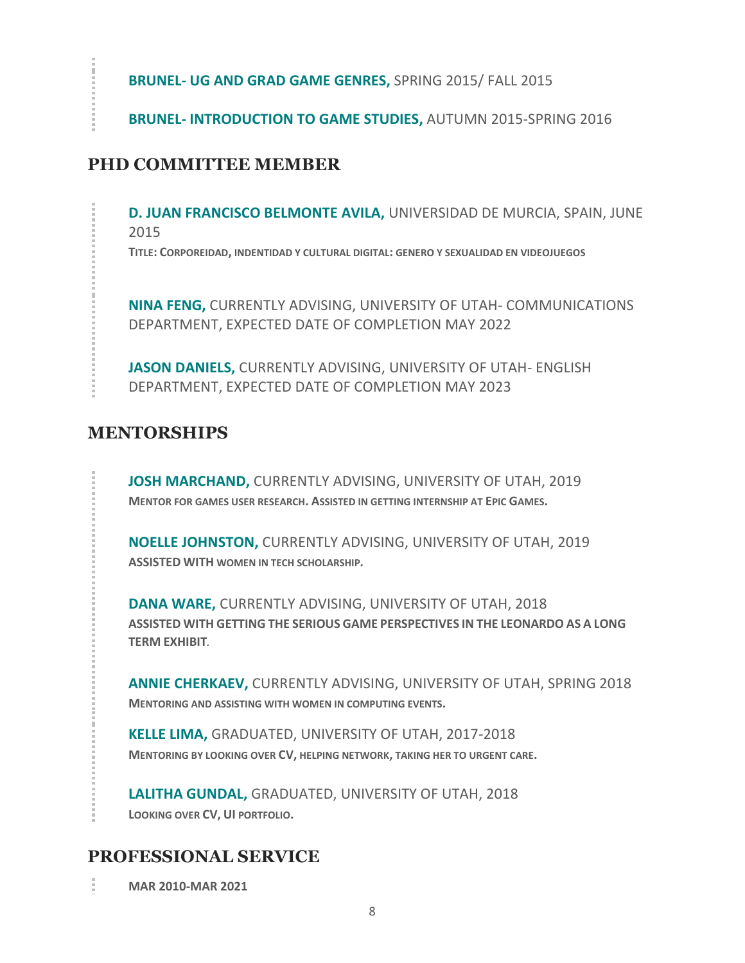**BRUNEL- UG AND GRAD GAME GENRES,** SPRING 2015/ FALL 2015

**BRUNEL- INTRODUCTION TO GAME STUDIES,** AUTUMN 2015-SPRING 2016

## **PHD COMMITTEE MEMBER**

**D. JUAN FRANCISCO BELMONTE AVILA,** UNIVERSIDAD DE MURCIA, SPAIN, JUNE 2015

**TITLE: CORPOREIDAD, INDENTIDAD Y CULTURAL DIGITAL: GENERO Y SEXUALIDAD EN VIDEOJUEGOS**

**NINA FENG,** CURRENTLY ADVISING, UNIVERSITY OF UTAH- COMMUNICATIONS DEPARTMENT, EXPECTED DATE OF COMPLETION MAY 2022

**JASON DANIELS,** CURRENTLY ADVISING, UNIVERSITY OF UTAH- ENGLISH DEPARTMENT, EXPECTED DATE OF COMPLETION MAY 2023

# **MENTORSHIPS**

**JOSH MARCHAND,** CURRENTLY ADVISING, UNIVERSITY OF UTAH, 2019 **MENTOR FOR GAMES USER RESEARCH. ASSISTED IN GETTING INTERNSHIP AT EPIC GAMES.**

**NOELLE JOHNSTON,** CURRENTLY ADVISING, UNIVERSITY OF UTAH, 2019 **ASSISTED WITH WOMEN IN TECH SCHOLARSHIP***.*

**DANA WARE,** CURRENTLY ADVISING, UNIVERSITY OF UTAH, 2018 **ASSISTED WITH GETTING THE SERIOUS GAME PERSPECTIVES IN THE LEONARDO AS A LONG TERM EXHIBIT***.*

**ANNIE CHERKAEV,** CURRENTLY ADVISING, UNIVERSITY OF UTAH, SPRING 2018 **MENTORING AND ASSISTING WITH WOMEN IN COMPUTING EVENTS.**

**KELLE LIMA,** GRADUATED, UNIVERSITY OF UTAH, 2017-2018 **MENTORING BY LOOKING OVER CV, HELPING NETWORK, TAKING HER TO URGENT CARE.**

**LALITHA GUNDAL,** GRADUATED, UNIVERSITY OF UTAH, 2018 **LOOKING OVER CV, UI PORTFOLIO.**

## **PROFESSIONAL SERVICE**

î. **MAR 2010-MAR 2021**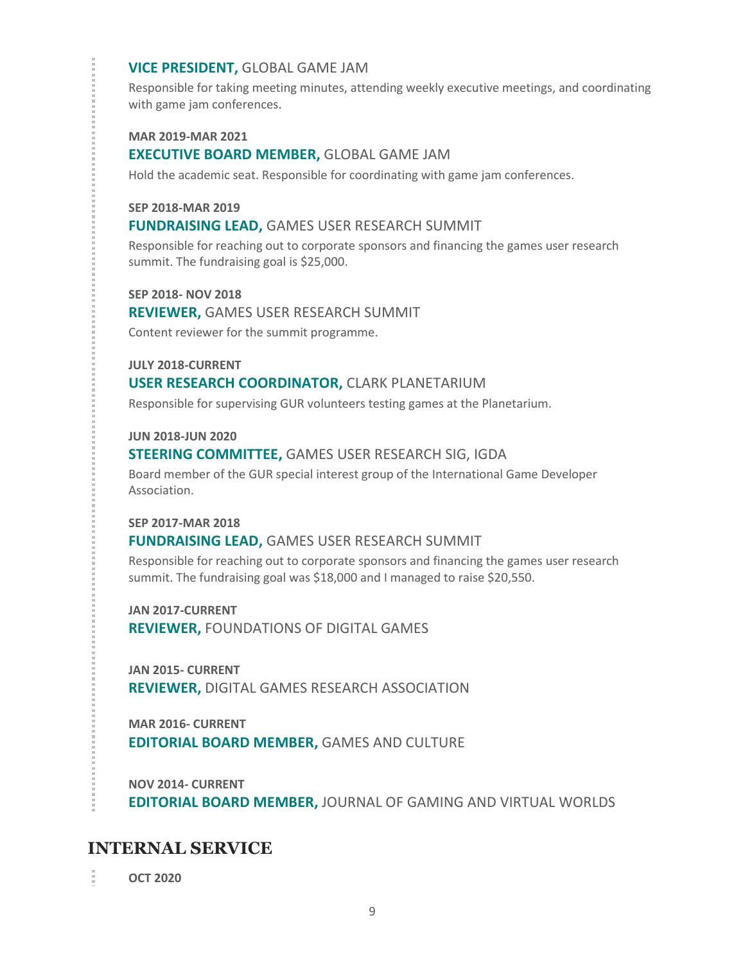#### **VICE PRESIDENT,** GLOBAL GAME JAM

Responsible for taking meeting minutes, attending weekly executive meetings, and coordinating with game jam conferences.

**MAR 2019-MAR 2021**

#### **EXECUTIVE BOARD MEMBER,** GLOBAL GAME JAM

Hold the academic seat. Responsible for coordinating with game jam conferences.

#### **SEP 2018-MAR 2019**

#### **FUNDRAISING LEAD,** GAMES USER RESEARCH SUMMIT

Responsible for reaching out to corporate sponsors and financing the games user research summit. The fundraising goal is \$25,000.

**SEP 2018- NOV 2018**

**REVIEWER,** GAMES USER RESEARCH SUMMIT

Content reviewer for the summit programme.

**JULY 2018-CURRENT**

#### **USER RESEARCH COORDINATOR,** CLARK PLANETARIUM

Responsible for supervising GUR volunteers testing games at the Planetarium.

#### **JUN 2018-JUN 2020**

#### **STEERING COMMITTEE,** GAMES USER RESEARCH SIG, IGDA

Board member of the GUR special interest group of the International Game Developer Association.

#### **SEP 2017-MAR 2018**

#### **FUNDRAISING LEAD,** GAMES USER RESEARCH SUMMIT

Responsible for reaching out to corporate sponsors and financing the games user research summit. The fundraising goal was \$18,000 and I managed to raise \$20,550.

**JAN 2017-CURRENT REVIEWER,** FOUNDATIONS OF DIGITAL GAMES

**JAN 2015- CURRENT REVIEWER,** DIGITAL GAMES RESEARCH ASSOCIATION

**MAR 2016- CURRENT EDITORIAL BOARD MEMBER,** GAMES AND CULTURE

**NOV 2014- CURRENT EDITORIAL BOARD MEMBER,** JOURNAL OF GAMING AND VIRTUAL WORLDS

## **INTERNAL SERVICE**

**OCT 2020**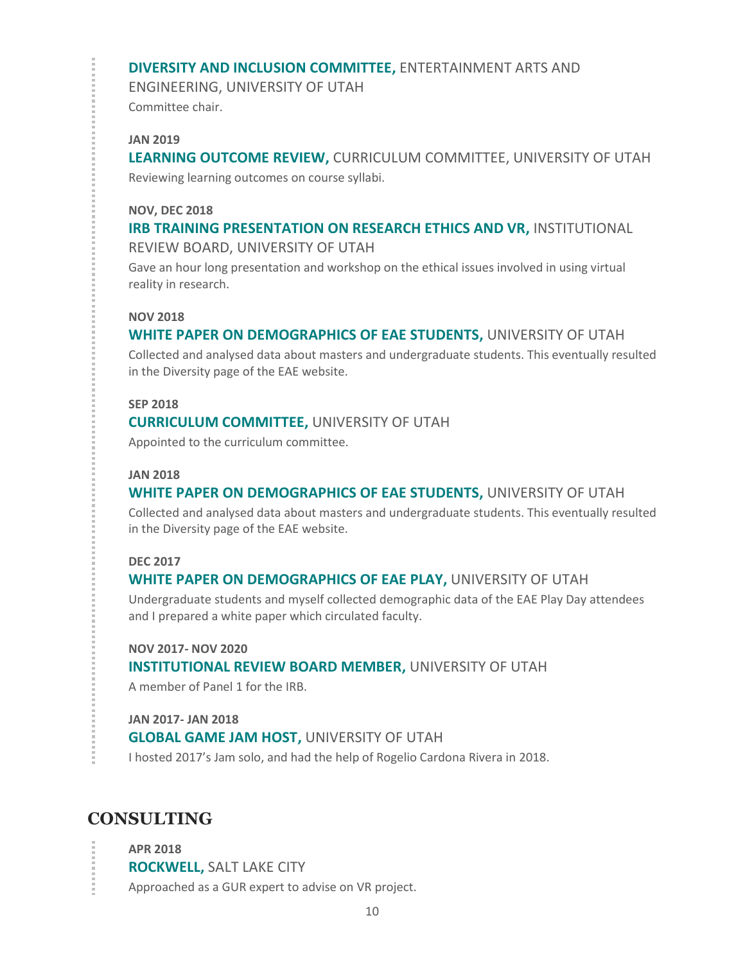#### **DIVERSITY AND INCLUSION COMMITTEE,** ENTERTAINMENT ARTS AND

ENGINEERING, UNIVERSITY OF UTAH Committee chair.

#### **JAN 2019**

**LEARNING OUTCOME REVIEW,** CURRICULUM COMMITTEE, UNIVERSITY OF UTAH Reviewing learning outcomes on course syllabi.

#### **NOV, DEC 2018**

### **IRB TRAINING PRESENTATION ON RESEARCH ETHICS AND VR,** INSTITUTIONAL REVIEW BOARD, UNIVERSITY OF UTAH

Gave an hour long presentation and workshop on the ethical issues involved in using virtual reality in research.

#### **NOV 2018**

## **WHITE PAPER ON DEMOGRAPHICS OF EAE STUDENTS,** UNIVERSITY OF UTAH

Collected and analysed data about masters and undergraduate students. This eventually resulted in the Diversity page of the EAE website.

#### **SEP 2018**

#### **CURRICULUM COMMITTEE,** UNIVERSITY OF UTAH

Appointed to the curriculum committee.

#### **JAN 2018**

### **WHITE PAPER ON DEMOGRAPHICS OF EAE STUDENTS,** UNIVERSITY OF UTAH

Collected and analysed data about masters and undergraduate students. This eventually resulted in the Diversity page of the EAE website.

#### **DEC 2017**

### **WHITE PAPER ON DEMOGRAPHICS OF EAE PLAY,** UNIVERSITY OF UTAH

Undergraduate students and myself collected demographic data of the EAE Play Day attendees and I prepared a white paper which circulated faculty.

#### **NOV 2017- NOV 2020**

### **INSTITUTIONAL REVIEW BOARD MEMBER,** UNIVERSITY OF UTAH

A member of Panel 1 for the IRB.

#### **JAN 2017- JAN 2018**

#### **GLOBAL GAME JAM HOST,** UNIVERSITY OF UTAH

I hosted 2017's Jam solo, and had the help of Rogelio Cardona Rivera in 2018.

## **CONSULTING**

**APR 2018 ROCKWELL,** SALT LAKE CITY Approached as a GUR expert to advise on VR project.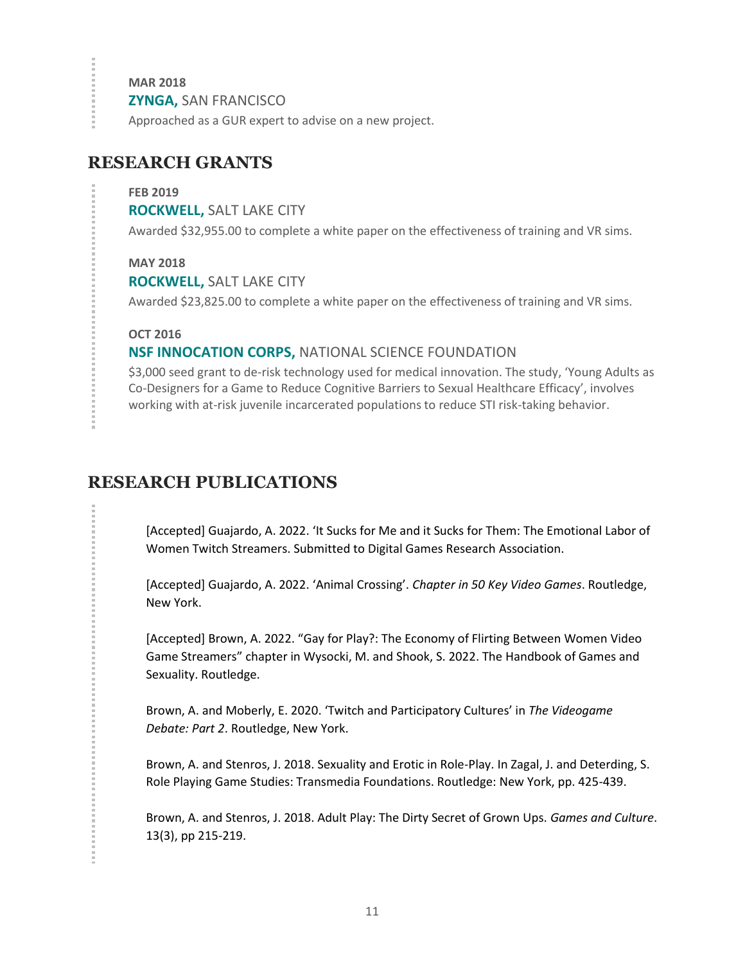**MAR 2018**

 $\frac{1}{2}$ 

**ZYNGA,** SAN FRANCISCO

Approached as a GUR expert to advise on a new project.

## **RESEARCH GRANTS**

#### **FEB 2019**

**ROCKWELL,** SALT LAKE CITY

Awarded \$32,955.00 to complete a white paper on the effectiveness of training and VR sims.

#### **MAY 2018**

**ROCKWELL,** SALT LAKE CITY

Awarded \$23,825.00 to complete a white paper on the effectiveness of training and VR sims.

### **OCT 2016**

## **NSF INNOCATION CORPS,** NATIONAL SCIENCE FOUNDATION

\$3,000 seed grant to de-risk technology used for medical innovation. The study, 'Young Adults as Co-Designers for a Game to Reduce Cognitive Barriers to Sexual Healthcare Efficacy', involves working with at-risk juvenile incarcerated populations to reduce STI risk-taking behavior.

# **RESEARCH PUBLICATIONS**

[Accepted] Guajardo, A. 2022. 'It Sucks for Me and it Sucks for Them: The Emotional Labor of Women Twitch Streamers. Submitted to Digital Games Research Association.

[Accepted] Guajardo, A. 2022. 'Animal Crossing'. *Chapter in 50 Key Video Games*. Routledge, New York.

[Accepted] Brown, A. 2022. "Gay for Play?: The Economy of Flirting Between Women Video Game Streamers" chapter in Wysocki, M. and Shook, S. 2022. The Handbook of Games and Sexuality. Routledge.

Brown, A. and Moberly, E. 2020. 'Twitch and Participatory Cultures' in *The Videogame Debate: Part 2*. Routledge, New York.

Brown, A. and Stenros, J. 2018. Sexuality and Erotic in Role-Play. In Zagal, J. and Deterding, S. Role Playing Game Studies: Transmedia Foundations. Routledge: New York, pp. 425-439.

Brown, A. and Stenros, J. 2018. Adult Play: The Dirty Secret of Grown Ups. *Games and Culture*. 13(3), pp 215-219.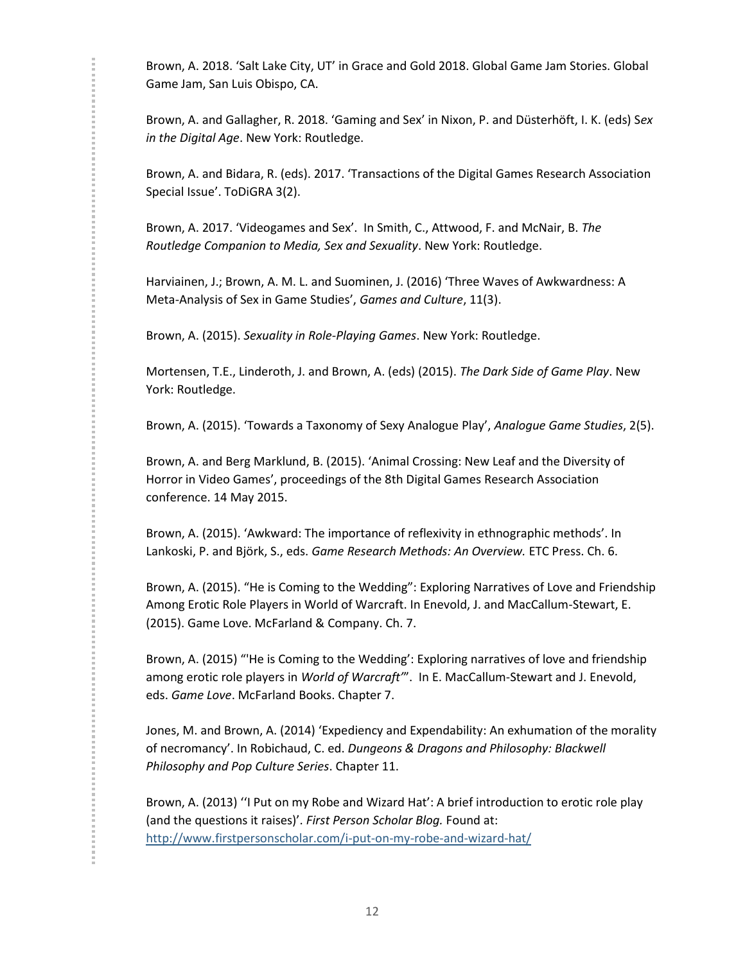Brown, A. 2018. 'Salt Lake City, UT' in Grace and Gold 2018. Global Game Jam Stories. Global Game Jam, San Luis Obispo, CA.

Brown, A. and Gallagher, R. 2018. 'Gaming and Sex' in Nixon, P. and Düsterhöft, I. K. (eds) S*ex in the Digital Age*. New York: Routledge.

Brown, A. and Bidara, R. (eds). 2017. 'Transactions of the Digital Games Research Association Special Issue'. ToDiGRA 3(2).

Brown, A. 2017. 'Videogames and Sex'. In Smith, C., Attwood, F. and McNair, B. *The Routledge Companion to Media, Sex and Sexuality*. New York: Routledge.

Harviainen, J.; Brown, A. M. L. and Suominen, J. (2016) 'Three Waves of Awkwardness: A Meta-Analysis of Sex in Game Studies', *Games and Culture*, 11(3).

Brown, A. (2015). *Sexuality in Role-Playing Games*. New York: Routledge.

Mortensen, T.E., Linderoth, J. and Brown, A. (eds) (2015). *The Dark Side of Game Play*. New York: Routledge.

Brown, A. (2015). 'Towards a Taxonomy of Sexy Analogue Play', *Analogue Game Studies*, 2(5).

Brown, A. and Berg Marklund, B. (2015). 'Animal Crossing: New Leaf and the Diversity of Horror in Video Games', proceedings of the 8th Digital Games Research Association conference. 14 May 2015.

Brown, A. (2015). 'Awkward: The importance of reflexivity in ethnographic methods'. In Lankoski, P. and Björk, S., eds. *Game Research Methods: An Overview.* ETC Press. Ch. 6.

Brown, A. (2015). "He is Coming to the Wedding": Exploring Narratives of Love and Friendship Among Erotic Role Players in World of Warcraft. In Enevold, J. and MacCallum-Stewart, E. (2015). Game Love. McFarland & Company. Ch. 7.

Brown, A. (2015) "'He is Coming to the Wedding': Exploring narratives of love and friendship among erotic role players in *World of Warcraft'*". In E. MacCallum-Stewart and J. Enevold, eds. *Game Love*. McFarland Books. Chapter 7.

Jones, M. and Brown, A. (2014) 'Expediency and Expendability: An exhumation of the morality of necromancy'. In Robichaud, C. ed. *Dungeons & Dragons and Philosophy: Blackwell Philosophy and Pop Culture Series*. Chapter 11.

Brown, A. (2013) ''I Put on my Robe and Wizard Hat': A brief introduction to erotic role play (and the questions it raises)'. *First Person Scholar Blog.* Found at: <http://www.firstpersonscholar.com/i-put-on-my-robe-and-wizard-hat/>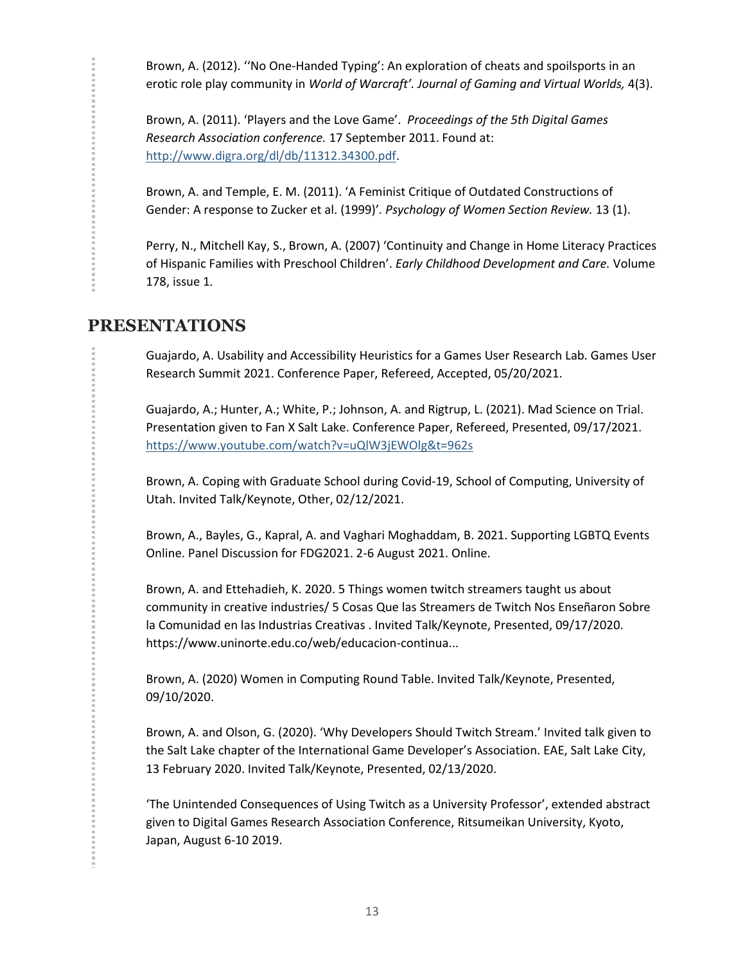Brown, A. (2012). ''No One-Handed Typing': An exploration of cheats and spoilsports in an erotic role play community in *World of Warcraft'. Journal of Gaming and Virtual Worlds,* 4(3).

Brown, A. (2011). 'Players and the Love Game'. *Proceedings of the 5th Digital Games Research Association conference.* 17 September 2011. Found at: [http://www.digra.org/dl/db/11312.34300.pdf.](http://www.digra.org/dl/db/11312.34300.pdf)

Brown, A. and Temple, E. M. (2011). 'A Feminist Critique of Outdated Constructions of Gender: A response to Zucker et al. (1999)'*. Psychology of Women Section Review.* 13 (1).

Perry, N., Mitchell Kay, S., Brown, A. (2007) 'Continuity and Change in Home Literacy Practices of Hispanic Families with Preschool Children'. *Early Childhood Development and Care.* Volume 178, issue 1*.*

## **PRESENTATIONS**

Guajardo, A. Usability and Accessibility Heuristics for a Games User Research Lab. Games User Research Summit 2021. Conference Paper, Refereed, Accepted, 05/20/2021.

Guajardo, A.; Hunter, A.; White, P.; Johnson, A. and Rigtrup, L. (2021). Mad Science on Trial. Presentation given to Fan X Salt Lake. Conference Paper, Refereed, Presented, 09/17/2021. <https://www.youtube.com/watch?v=uQlW3jEWOlg&t=962s>

Brown, A. Coping with Graduate School during Covid-19, School of Computing, University of Utah. Invited Talk/Keynote, Other, 02/12/2021.

Brown, A., Bayles, G., Kapral, A. and Vaghari Moghaddam, B. 2021. Supporting LGBTQ Events Online. Panel Discussion for FDG2021. 2-6 August 2021. Online.

Brown, A. and Ettehadieh, K. 2020. 5 Things women twitch streamers taught us about community in creative industries/ 5 Cosas Que las Streamers de Twitch Nos Enseñaron Sobre la Comunidad en las Industrias Creativas . Invited Talk/Keynote, Presented, 09/17/2020. https://www.uninorte.edu.co/web/educacion-continua...

Brown, A. (2020) Women in Computing Round Table. Invited Talk/Keynote, Presented, 09/10/2020.

Brown, A. and Olson, G. (2020). 'Why Developers Should Twitch Stream.' Invited talk given to the Salt Lake chapter of the International Game Developer's Association. EAE, Salt Lake City, 13 February 2020. Invited Talk/Keynote, Presented, 02/13/2020.

'The Unintended Consequences of Using Twitch as a University Professor', extended abstract given to Digital Games Research Association Conference, Ritsumeikan University, Kyoto, Japan, August 6-10 2019.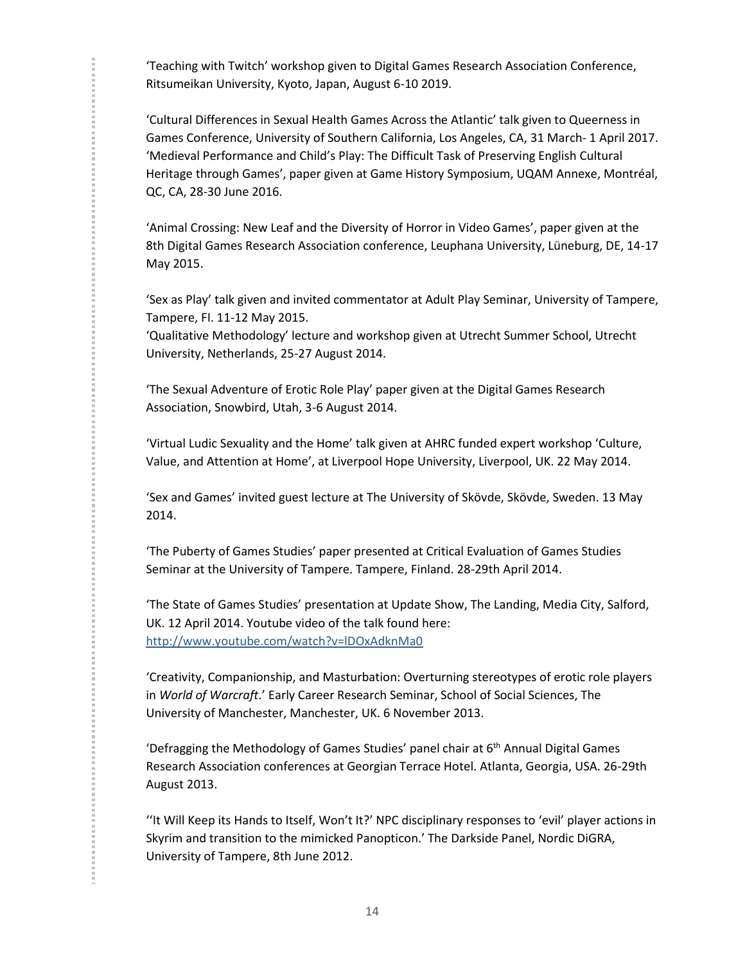'Teaching with Twitch' workshop given to Digital Games Research Association Conference, Ritsumeikan University, Kyoto, Japan, August 6-10 2019.

'Cultural Differences in Sexual Health Games Across the Atlantic' talk given to Queerness in Games Conference, University of Southern California, Los Angeles, CA, 31 March- 1 April 2017. 'Medieval Performance and Child's Play: The Difficult Task of Preserving English Cultural Heritage through Games', paper given at Game History Symposium, UQAM Annexe, Montréal, QC, CA, 28-30 June 2016.

'Animal Crossing: New Leaf and the Diversity of Horror in Video Games', paper given at the 8th Digital Games Research Association conference, Leuphana University, Lüneburg, DE, 14-17 May 2015.

'Sex as Play' talk given and invited commentator at Adult Play Seminar, University of Tampere, Tampere, FI. 11-12 May 2015.

'Qualitative Methodology' lecture and workshop given at Utrecht Summer School, Utrecht University, Netherlands, 25-27 August 2014.

'The Sexual Adventure of Erotic Role Play' paper given at the Digital Games Research Association, Snowbird, Utah, 3-6 August 2014.

'Virtual Ludic Sexuality and the Home' talk given at AHRC funded expert workshop 'Culture, Value, and Attention at Home', at Liverpool Hope University, Liverpool, UK. 22 May 2014.

'Sex and Games' invited guest lecture at The University of Skövde, Skövde, Sweden. 13 May 2014.

'The Puberty of Games Studies' paper presented at Critical Evaluation of Games Studies Seminar at the University of Tampere. Tampere, Finland. 28-29th April 2014.

'The State of Games Studies' presentation at Update Show, The Landing, Media City, Salford, UK. 12 April 2014. Youtube video of the talk found here: <http://www.youtube.com/watch?v=lDOxAdknMa0>

'Creativity, Companionship, and Masturbation: Overturning stereotypes of erotic role players in *World of Warcraft*.' Early Career Research Seminar, School of Social Sciences, The University of Manchester, Manchester, UK. 6 November 2013.

'Defragging the Methodology of Games Studies' panel chair at  $6<sup>th</sup>$  Annual Digital Games Research Association conferences at Georgian Terrace Hotel. Atlanta, Georgia, USA. 26-29th August 2013.

''It Will Keep its Hands to Itself, Won't It?' NPC disciplinary responses to 'evil' player actions in Skyrim and transition to the mimicked Panopticon.' The Darkside Panel, Nordic DiGRA, University of Tampere, 8th June 2012.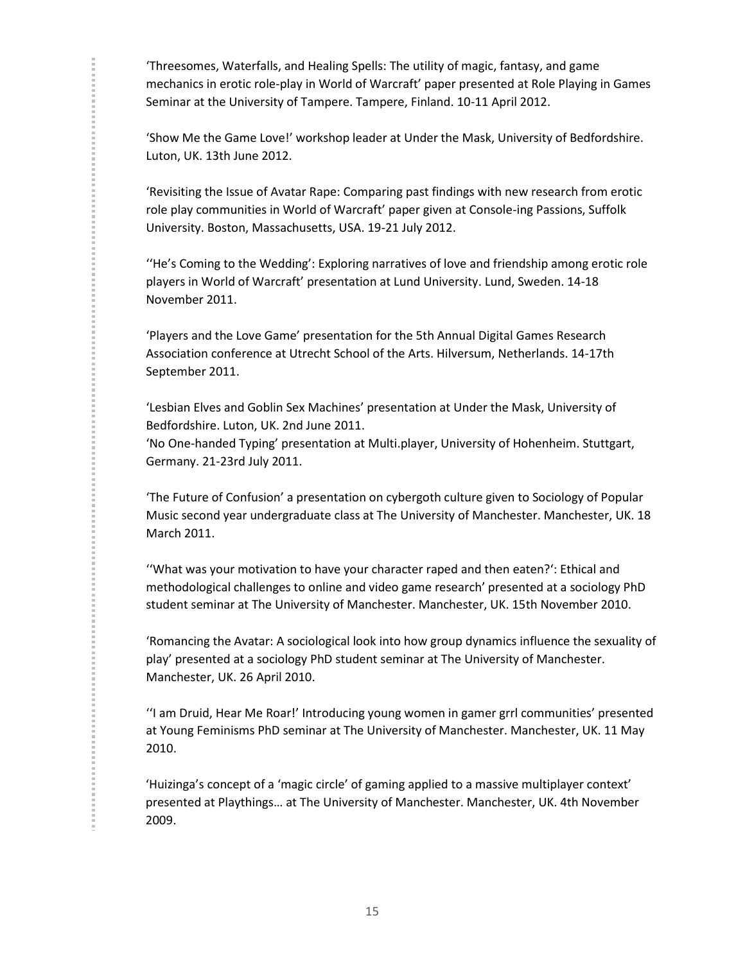'Threesomes, Waterfalls, and Healing Spells: The utility of magic, fantasy, and game mechanics in erotic role-play in World of Warcraft' paper presented at Role Playing in Games Seminar at the University of Tampere. Tampere, Finland. 10-11 April 2012.

'Show Me the Game Love!' workshop leader at Under the Mask, University of Bedfordshire. Luton, UK. 13th June 2012.

'Revisiting the Issue of Avatar Rape: Comparing past findings with new research from erotic role play communities in World of Warcraft' paper given at Console-ing Passions, Suffolk University. Boston, Massachusetts, USA. 19-21 July 2012.

''He's Coming to the Wedding': Exploring narratives of love and friendship among erotic role players in World of Warcraft' presentation at Lund University. Lund, Sweden. 14-18 November 2011.

'Players and the Love Game' presentation for the 5th Annual Digital Games Research Association conference at Utrecht School of the Arts. Hilversum, Netherlands. 14-17th September 2011.

'Lesbian Elves and Goblin Sex Machines' presentation at Under the Mask, University of Bedfordshire. Luton, UK. 2nd June 2011.

'No One-handed Typing' presentation at Multi.player, University of Hohenheim. Stuttgart, Germany. 21-23rd July 2011.

'The Future of Confusion' a presentation on cybergoth culture given to Sociology of Popular Music second year undergraduate class at The University of Manchester. Manchester, UK. 18 March 2011.

''What was your motivation to have your character raped and then eaten?': Ethical and methodological challenges to online and video game research' presented at a sociology PhD student seminar at The University of Manchester. Manchester, UK. 15th November 2010.

'Romancing the Avatar: A sociological look into how group dynamics influence the sexuality of play' presented at a sociology PhD student seminar at The University of Manchester. Manchester, UK. 26 April 2010.

''I am Druid, Hear Me Roar!' Introducing young women in gamer grrl communities' presented at Young Feminisms PhD seminar at The University of Manchester. Manchester, UK. 11 May 2010.

'Huizinga's concept of a 'magic circle' of gaming applied to a massive multiplayer context' presented at Playthings… at The University of Manchester. Manchester, UK. 4th November 2009.